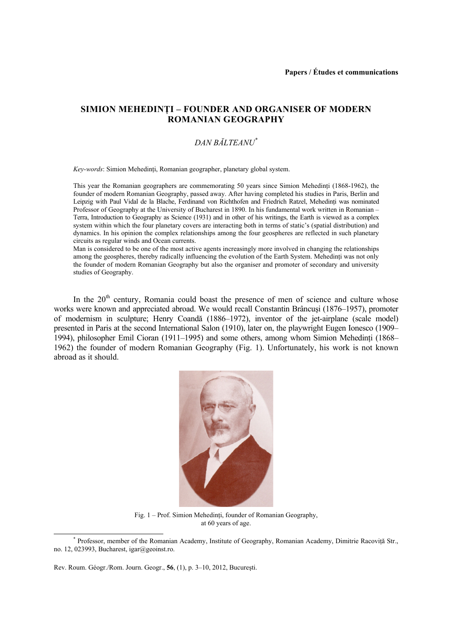## **SIMION MEHEDINŢI – FOUNDER AND ORGANISER OF MODERN ROMANIAN GEOGRAPHY**

# *DAN BĂLTEANU\**

*Key-words*: Simion Mehedinţi, Romanian geographer, planetary global system.

This year the Romanian geographers are commemorating 50 years since Simion Mehedinți (1868-1962), the founder of modern Romanian Geography, passed away. After having completed his studies in Paris, Berlin and Leipzig with Paul Vidal de la Blache, Ferdinand von Richthofen and Friedrich Ratzel, Mehedinti was nominated Professor of Geography at the University of Bucharest in 1890. In his fundamental work written in Romanian – Terra, Introduction to Geography as Science (1931) and in other of his writings, the Earth is viewed as a complex system within which the four planetary covers are interacting both in terms of static's (spatial distribution) and dynamics. In his opinion the complex relationships among the four geospheres are reflected in such planetary circuits as regular winds and Ocean currents.

Man is considered to be one of the most active agents increasingly more involved in changing the relationships among the geospheres, thereby radically influencing the evolution of the Earth System. Mehedinti was not only the founder of modern Romanian Geography but also the organiser and promoter of secondary and university studies of Geography.

In the 20<sup>th</sup> century, Romania could boast the presence of men of science and culture whose works were known and appreciated abroad. We would recall Constantin Brâncuşi (1876–1957), promoter of modernism in sculpture; Henry Coandă (1886–1972), inventor of the jet-airplane (scale model) presented in Paris at the second International Salon (1910), later on, the playwright Eugen Ionesco (1909– 1994), philosopher Emil Cioran (1911–1995) and some others, among whom Simion Mehedinti (1868– 1962) the founder of modern Romanian Geography (Fig. 1). Unfortunately, his work is not known abroad as it should.



Fig. 1 – Prof. Simion Mehedinți, founder of Romanian Geography, at 60 years of age.

 $\overline{\phantom{a}}$ Professor, member of the Romanian Academy, Institute of Geography, Romanian Academy, Dimitrie Racovită Str., no. 12, 023993, Bucharest, igar@geoinst.ro.

Rev. Roum. Géogr./Rom. Journ. Geogr., **56**, (1), p. 3–10, 2012, Bucureşti.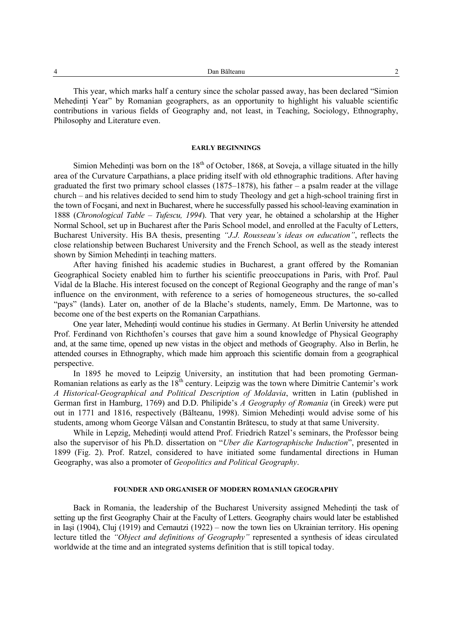This year, which marks half a century since the scholar passed away, has been declared "Simion Mehedinti Year" by Romanian geographers, as an opportunity to highlight his valuable scientific contributions in various fields of Geography and, not least, in Teaching, Sociology, Ethnography, Philosophy and Literature even.

#### **EARLY BEGINNINGS**

Simion Mehedinti was born on the  $18<sup>th</sup>$  of October, 1868, at Soveja, a village situated in the hilly area of the Curvature Carpathians, a place priding itself with old ethnographic traditions. After having graduated the first two primary school classes (1875–1878), his father – a psalm reader at the village church – and his relatives decided to send him to study Theology and get a high-school training first in the town of Focşani, and next in Bucharest, where he successfully passed his school-leaving examination in 1888 (*Chronological Table – Tufescu, 1994*). That very year, he obtained a scholarship at the Higher Normal School, set up in Bucharest after the Paris School model, and enrolled at the Faculty of Letters, Bucharest University. His BA thesis, presenting *"J.J. Rousseau's ideas on education"*, reflects the close relationship between Bucharest University and the French School, as well as the steady interest shown by Simion Mehedinti in teaching matters.

After having finished his academic studies in Bucharest, a grant offered by the Romanian Geographical Society enabled him to further his scientific preoccupations in Paris, with Prof. Paul Vidal de la Blache. His interest focused on the concept of Regional Geography and the range of man's influence on the environment, with reference to a series of homogeneous structures, the so-called "pays" (lands). Later on, another of de la Blache's students, namely, Emm. De Martonne, was to become one of the best experts on the Romanian Carpathians.

One year later, Mehedinţi would continue his studies in Germany. At Berlin University he attended Prof. Ferdinand von Richthofen's courses that gave him a sound knowledge of Physical Geography and, at the same time, opened up new vistas in the object and methods of Geography. Also in Berlin, he attended courses in Ethnography, which made him approach this scientific domain from a geographical perspective.

In 1895 he moved to Leipzig University, an institution that had been promoting German-Romanian relations as early as the 18<sup>th</sup> century. Leipzig was the town where Dimitrie Cantemir's work *A Historical-Geographical and Political Description of Moldavia*, written in Latin (published in German first in Hamburg, 1769) and D.D. Philipide's *A Geography of Romania* (in Greek) were put out in 1771 and 1816, respectively (Bălteanu, 1998). Simion Mehedinti would advise some of his students, among whom George Vâlsan and Constantin Brătescu, to study at that same University.

While in Lepzig, Mehedinți would attend Prof. Friedrich Ratzel's seminars, the Professor being also the supervisor of his Ph.D. dissertation on "*Uber die Kartographische Induction*", presented in 1899 (Fig. 2). Prof. Ratzel, considered to have initiated some fundamental directions in Human Geography, was also a promoter of *Geopolitics and Political Geography*.

### **FOUNDER AND ORGANISER OF MODERN ROMANIAN GEOGRAPHY**

Back in Romania, the leadership of the Bucharest University assigned Mehedinti the task of setting up the first Geography Chair at the Faculty of Letters. Geography chairs would later be established in Iaşi (1904), Cluj (1919) and Cernautzi (1922) – now the town lies on Ukrainian territory. His opening lecture titled the *"Object and definitions of Geography"* represented a synthesis of ideas circulated worldwide at the time and an integrated systems definition that is still topical today.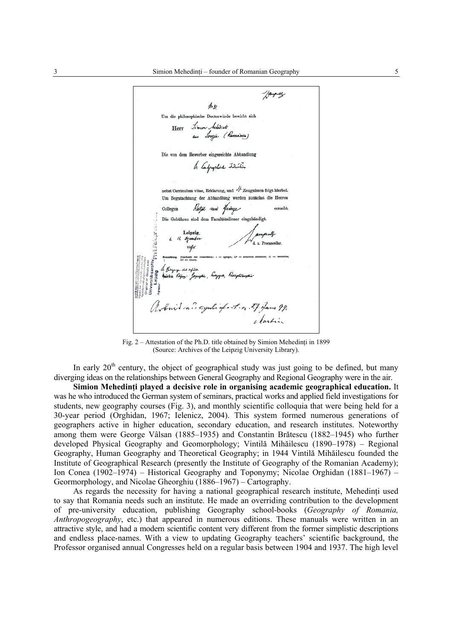/ family  $M - 91$ Um die philosophische Doctorwürde bewirbt sich -<br>"Sincon Sehiàinti"<br>"aus "Soreja" ("Rumániou") Herr Die von dem Bewerber eingereichte Abhandlung In landgraphone Induction nebst Curriculum vitae. Erklärung, und  $H$  Zeugnissen folgt hierbei. Um Begutachtung der Abhandlung werden zunächst die Herren Razel un feinge Collegen ersucht. Die Gebühren sind dem Facultätsdiener eingehändigt. Leipzig.  $\mathcal{R}$ Ozombi d. z. Proca buil no oyuli afait n. 27 Jan 99. clartin

Fig. 2 – Attestation of the Ph.D. title obtained by Simion Mehedinti in 1899 (Source: Archives of the Leipzig University Library).

In early  $20<sup>th</sup>$  century, the object of geographical study was just going to be defined, but many diverging ideas on the relationships between General Geography and Regional Geography were in the air.

**Simion Mehedinţi played a decisive role in organising academic geographical education.** It was he who introduced the German system of seminars, practical works and applied field investigations for students, new geography courses (Fig. 3), and monthly scientific colloquia that were being held for a 30-year period (Orghidan, 1967; Ielenicz, 2004). This system formed numerous generations of geographers active in higher education, secondary education, and research institutes. Noteworthy among them were George Vâlsan (1885–1935) and Constantin Brătescu (1882–1945) who further developed Physical Geography and Geomorphology; Vintilă Mihăilescu (1890–1978) – Regional Geography, Human Geography and Theoretical Geography; in 1944 Vintilă Mihăilescu founded the Institute of Geographical Research (presently the Institute of Geography of the Romanian Academy); Ion Conea (1902–1974) – Historical Geography and Toponymy; Nicolae Orghidan (1881–1967) – Geormorphology, and Nicolae Gheorghiu (1886–1967) – Cartography.

As regards the necessity for having a national geographical research institute, Mehedinti used to say that Romania needs such an institute. He made an overriding contribution to the development of pre-university education, publishing Geography school-books (*Geography of Romania, Anthropogeography*, etc.) that appeared in numerous editions. These manuals were written in an attractive style, and had a modern scientific content very different from the former simplistic descriptions and endless place-names. With a view to updating Geography teachers' scientific background, the Professor organised annual Congresses held on a regular basis between 1904 and 1937. The high level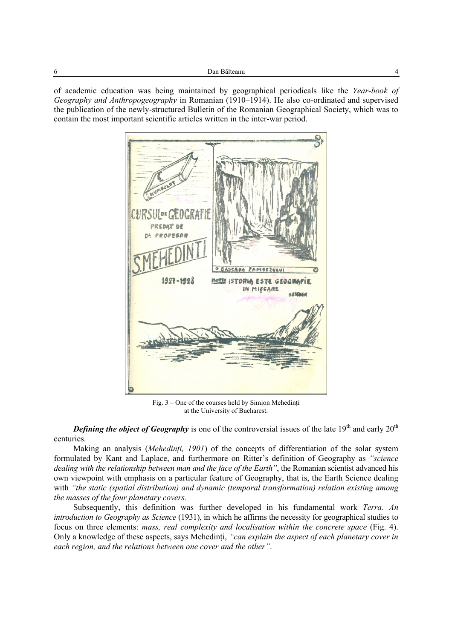of academic education was being maintained by geographical periodicals like the *Year-book of Geography and Anthropogeography* in Romanian (1910–1914). He also co-ordinated and supervised the publication of the newly-structured Bulletin of the Romanian Geographical Society, which was to contain the most important scientific articles written in the inter-war period.



Fig. 3 – One of the courses held by Simion Mehedinţi at the University of Bucharest.

**Defining the object of Geography** is one of the controversial issues of the late 19<sup>th</sup> and early 20<sup>th</sup> centuries.

Making an analysis (*Mehedinţi, 1901*) of the concepts of differentiation of the solar system formulated by Kant and Laplace, and furthermore on Ritter's definition of Geography as *"science dealing with the relationship between man and the face of the Earth"*, the Romanian scientist advanced his own viewpoint with emphasis on a particular feature of Geography, that is, the Earth Science dealing with *"the static (spatial distribution) and dynamic (temporal transformation) relation existing among the masses of the four planetary covers.* 

Subsequently, this definition was further developed in his fundamental work *Terra. An introduction to Geography as Science* (1931), in which he affirms the necessity for geographical studies to focus on three elements: *mass, real complexity and localisation within the concrete space* (Fig. 4). Only a knowledge of these aspects, says Mehedinți, "can explain the aspect of each planetary cover in *each region, and the relations between one cover and the other"*.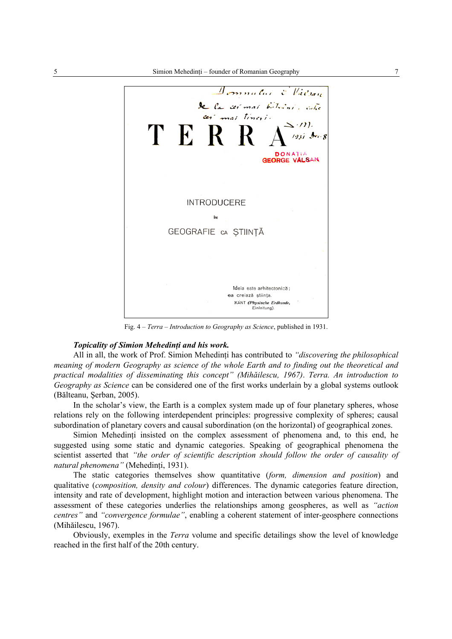

Fig. 4 – *Terra – Introduction to Geography as Science*, published in 1931.

### *Topicality of Simion Mehedinti and his work.*

All in all, the work of Prof. Simion Mehedinti has contributed to *"discovering the philosophical meaning of modern Geography as science of the whole Earth and to finding out the theoretical and practical modalities of disseminating this concept" (Mihăilescu, 1967)*. *Terra. An introduction to Geography as Science* can be considered one of the first works underlain by a global systems outlook (Bălteanu, Şerban, 2005).

In the scholar's view, the Earth is a complex system made up of four planetary spheres, whose relations rely on the following interdependent principles: progressive complexity of spheres; causal subordination of planetary covers and causal subordination (on the horizontal) of geographical zones.

Simion Mehedinti insisted on the complex assessment of phenomena and, to this end, he suggested using some static and dynamic categories. Speaking of geographical phenomena the scientist asserted that *"the order of scientific description should follow the order of causality of natural phenomena"* (Mehedinţi, 1931).

The static categories themselves show quantitative (*form, dimension and position*) and qualitative (*composition, density and colour*) differences. The dynamic categories feature direction, intensity and rate of development, highlight motion and interaction between various phenomena. The assessment of these categories underlies the relationships among geospheres, as well as *"action centres"* and *"convergence formulae"*, enabling a coherent statement of inter-geosphere connections (Mihăilescu, 1967).

Obviously, exemples in the *Terra* volume and specific detailings show the level of knowledge reached in the first half of the 20th century.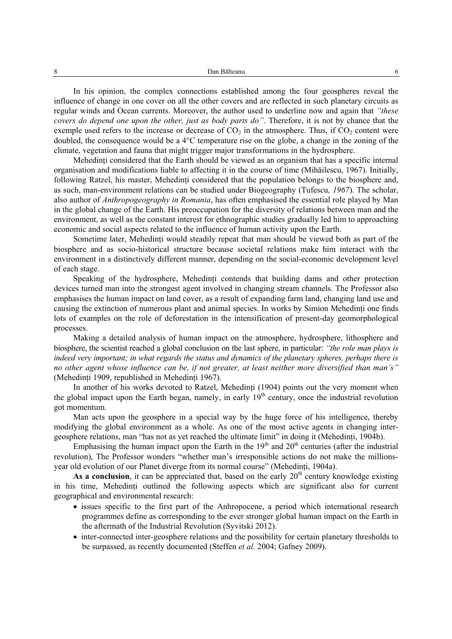In his opinion, the complex connections established among the four geospheres reveal the influence of change in one cover on all the other covers and are reflected in such planetary circuits as regular winds and Ocean currents. Moreover, the author used to underline now and again that *"these covers do depend one upon the other, just as body parts do"*. Therefore, it is not by chance that the exemple used refers to the increase or decrease of  $CO<sub>2</sub>$  in the atmosphere. Thus, if  $CO<sub>2</sub>$  content were doubled, the consequence would be a 4°C temperature rise on the globe, a change in the zoning of the climate, vegetation and fauna that might trigger major transformations in the hydrosphere.

Mehedinți considered that the Earth should be viewed as an organism that has a specific internal organisation and modifications liable to affecting it in the course of time (Mihăilescu, 1967). Initially, following Ratzel, his master, Mehedinti considered that the population belongs to the biosphere and, as such, man-environment relations can be studied under Biogeography (Tufescu*, 1967*). The scholar, also author of *Anthropogeography in Romania*, has often emphasised the essential role played by Man in the global change of the Earth. His preoccupation for the diversity of relations between man and the environment, as well as the constant interest for ethnographic studies gradually led him to approaching economic and social aspects related to the influence of human activity upon the Earth.

Sometime later, Mehedinti would steadily repeat that man should be viewed both as part of the biosphere and as socio-historical structure because societal relations make him interact with the environment in a distinctively different manner, depending on the social-economic development level of each stage.

Speaking of the hydrosphere. Mehedinti contends that building dams and other protection devices turned man into the strongest agent involved in changing stream channels. The Professor also emphasises the human impact on land cover, as a result of expanding farm land, changing land use and causing the extinction of numerous plant and animal species. In works by Simion Mehedinti one finds lots of examples on the role of deforestation in the intensification of present-day geomorphological processes.

Making a detailed analysis of human impact on the atmosphere, hydrosphere, lithosphere and biosphere, the scientist reached a global conclusion on the last sphere, in particular: *"the role man plays is indeed very important; in what regards the status and dynamics of the planetary spheres, perhaps there is no other agent whose influence can be, if not greater, at least neither more diversified than man's"* (Mehedinţi 1909, republished in Mehedinţi 1967).

In another of his works devoted to Ratzel, Mehedinti (1904) points out the very moment when the global impact upon the Earth began, namely, in early  $19<sup>th</sup>$  century, once the industrial revolution got momentum.

Man acts upon the geosphere in a special way by the huge force of his intelligence, thereby modifying the global environment as a whole. As one of the most active agents in changing intergeosphere relations, man "has not as yet reached the ultimate limit" in doing it (Mehedinti, 1904b).

Emphasising the human impact upon the Earth in the  $19<sup>th</sup>$  and  $20<sup>th</sup>$  centuries (after the industrial revolution), The Professor wonders "whether man's irresponsible actions do not make the millionsyear old evolution of our Planet diverge from its normal course" (Mehedinţi, 1904a).

As a conclusion, it can be appreciated that, based on the early  $20<sup>th</sup>$  century knowledge existing in his time. Mehedinti outlined the following aspects which are significant also for current geographical and environmental research:

- issues specific to the first part of the Anhropocene, a period which international research programmes define as corresponding to the ever stronger global human impact on the Earth in the aftermath of the Industrial Revolution (Syvitski 2012).
- inter-connected inter-geosphere relations and the possibility for certain planetary thresholds to be surpassed, as recently documented (Steffen *et al.* 2004; Gafney 2009).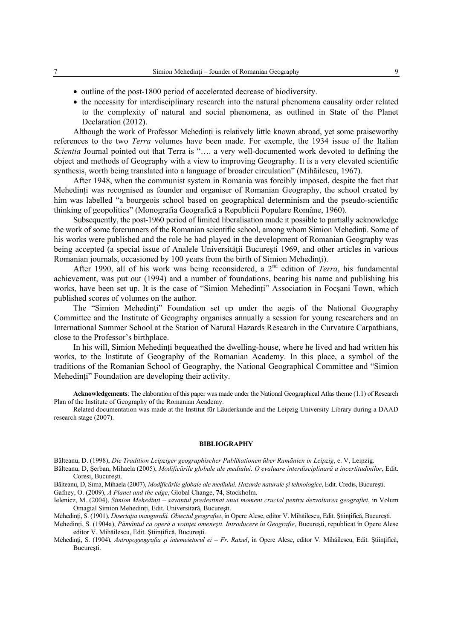- outline of the post-1800 period of accelerated decrease of biodiversity.
- the necessity for interdisciplinary research into the natural phenomena causality order related to the complexity of natural and social phenomena, as outlined in State of the Planet Declaration (2012).

Although the work of Professor Mehedinti is relatively little known abroad, yet some praiseworthy references to the two *Terra* volumes have been made. For exemple, the 1934 issue of the Italian *Scientia* Journal pointed out that Terra is "…. a very well-documented work devoted to defining the object and methods of Geography with a view to improving Geography. It is a very elevated scientific synthesis, worth being translated into a language of broader circulation" (Mihăilescu, 1967).

After 1948, when the communist system in Romania was forcibly imposed, despite the fact that Mehedinți was recognised as founder and organiser of Romanian Geography, the school created by him was labelled "a bourgeois school based on geographical determinism and the pseudo-scientific thinking of geopolitics" (Monografia Geografică a Republicii Populare Române, 1960).

Subsequently, the post-1960 period of limited liberalisation made it possible to partially acknowledge the work of some forerunners of the Romanian scientific school, among whom Simion Mehedinti. Some of his works were published and the role he had played in the development of Romanian Geography was being accepted (a special issue of Analele Universității București 1969, and other articles in various Romanian journals, occasioned by 100 years from the birth of Simion Mehedinţi).

After 1990, all of his work was being reconsidered, a 2<sup>nd</sup> edition of *Terra*, his fundamental achievement, was put out (1994) and a number of foundations, bearing his name and publishing his works, have been set up. It is the case of "Simion Mehedinti" Association in Focsani Town, which published scores of volumes on the author.

The "Simion Mehedinți" Foundation set up under the aegis of the National Geography Committee and the Institute of Geography organises annually a session for young researchers and an International Summer School at the Station of Natural Hazards Research in the Curvature Carpathians, close to the Professor's birthplace.

In his will, Simion Mehedinti bequeathed the dwelling-house, where he lived and had written his works, to the Institute of Geography of the Romanian Academy. In this place, a symbol of the traditions of the Romanian School of Geography, the National Geographical Committee and "Simion Mehedinți" Foundation are developing their activity.

**Acknowledgements**: The elaboration of this paper was made under the National Geographical Atlas theme (1.1) of Research Plan of the Institute of Geography of the Romanian Academy.

Related documentation was made at the Institut für Läuderkunde and the Leipzig University Library during a DAAD research stage (2007).

#### **BIBLIOGRAPHY**

Bălteanu, D. (1998), *Die Tradition Leipziger geographischer Publikationen über Rumänien in Leipzig*, e. V, Leipzig.

Bălteanu, D, Şerban, Mihaela (2005), *Modificările globale ale mediului. O evaluare interdisciplinară a incertitudinilor*, Edit. Coresi, Bucureşti.

Bălteanu, D, Sima, Mihaela (2007), *Modificările globale ale mediului. Hazarde naturale şi tehnologice*, Edit. Credis, Bucureşti. Gafney, O. (2009), *A Planet and the edge*, Global Change, **74**, Stockholm.

Ielenicz, M. (2004), *Simion Mehedinţi – savantul predestinat unui moment crucial pentru dezvoltarea geografiei*, in Volum Omagial Simion Mehedinţi, Edit. Universitară, Bucureşti.

Mehedinţi, S. (1901), *Disertaţia inaugurală. Obiectul geografiei*, in Opere Alese, editor V. Mihăilescu, Edit. Ştiinţifică, Bucureşti.

Mehedinţi, S. (1904a), *Pământul ca operă a voinţei omeneşti. Introducere în Geografie*, Bucureşti, republicat în Opere Alese editor V. Mihăilescu, Edit. Ştiinţifică, Bucureşti.

Mehedinți, S. (1904), *Antropogeografia și întemeietorul ei – Fr. Ratzel*, in Opere Alese, editor V. Mihăilescu, Edit. Științifică, Bucureşti.